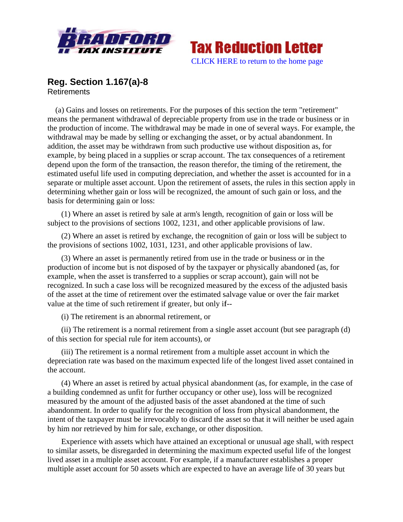



## **Reg. Section 1.167(a)-8 Retirements**

(a) Gains and losses on retirements. For the purposes of this section the term "retirement" means the permanent withdrawal of depreciable property from use in the trade or business or in the production of income. The withdrawal may be made in one of several ways. For example, the withdrawal may be made by selling or exchanging the asset, or by actual abandonment. In addition, the asset may be withdrawn from such productive use without disposition as, for example, by being placed in a supplies or scrap account. The tax consequences of a retirement depend upon the form of the transaction, the reason therefor, the timing of the retirement, the estimated useful life used in computing depreciation, and whether the asset is accounted for in a separate or multiple asset account. Upon the retirement of assets, the rules in this section apply in determining whether gain or loss will be recognized, the amount of such gain or loss, and the basis for determining gain or loss:

(1) Where an asset is retired by sale at arm's length, recognition of gain or loss will be subject to the provisions of sections 1002, 1231, and other applicable provisions of law.

(2) Where an asset is retired by exchange, the recognition of gain or loss will be subject to the provisions of sections 1002, 1031, 1231, and other applicable provisions of law.

(3) Where an asset is permanently retired from use in the trade or business or in the production of income but is not disposed of by the taxpayer or physically abandoned (as, for example, when the asset is transferred to a supplies or scrap account), gain will not be recognized. In such a case loss will be recognized measured by the excess of the adjusted basis of the asset at the time of retirement over the estimated salvage value or over the fair market value at the time of such retirement if greater, but only if--

(i) The retirement is an abnormal retirement, or

(ii) The retirement is a normal retirement from a single asset account (but see paragraph (d) of this section for special rule for item accounts), or

(iii) The retirement is a normal retirement from a multiple asset account in which the depreciation rate was based on the maximum expected life of the longest lived asset contained in the account.

(4) Where an asset is retired by actual physical abandonment (as, for example, in the case of a building condemned as unfit for further occupancy or other use), loss will be recognized measured by the amount of the adjusted basis of the asset abandoned at the time of such abandonment. In order to qualify for the recognition of loss from physical abandonment, the intent of the taxpayer must be irrevocably to discard the asset so that it will neither be used again by him nor retrieved by him for sale, exchange, or other disposition.

Experience with assets which have attained an exceptional or unusual age shall, with respect to similar assets, be disregarded in determining the maximum expected useful life of the longest lived asset in a multiple asset account. For example, if a manufacturer establishes a proper multiple asset account for 50 assets which are expected to have an average life of 30 years but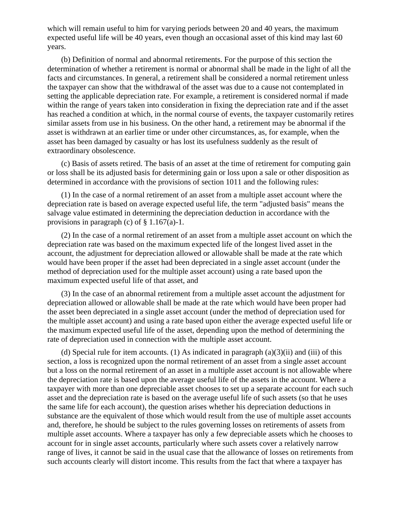which will remain useful to him for varying periods between 20 and 40 years, the maximum expected useful life will be 40 years, even though an occasional asset of this kind may last 60 years.

 (b) Definition of normal and abnormal retirements. For the purpose of this section the determination of whether a retirement is normal or abnormal shall be made in the light of all the facts and circumstances. In general, a retirement shall be considered a normal retirement unless the taxpayer can show that the withdrawal of the asset was due to a cause not contemplated in setting the applicable depreciation rate. For example, a retirement is considered normal if made within the range of years taken into consideration in fixing the depreciation rate and if the asset has reached a condition at which, in the normal course of events, the taxpayer customarily retires similar assets from use in his business. On the other hand, a retirement may be abnormal if the asset is withdrawn at an earlier time or under other circumstances, as, for example, when the asset has been damaged by casualty or has lost its usefulness suddenly as the result of extraordinary obsolescence.

 (c) Basis of assets retired. The basis of an asset at the time of retirement for computing gain or loss shall be its adjusted basis for determining gain or loss upon a sale or other disposition as determined in accordance with the provisions of section 1011 and the following rules:

 (1) In the case of a normal retirement of an asset from a multiple asset account where the depreciation rate is based on average expected useful life, the term "adjusted basis" means the salvage value estimated in determining the depreciation deduction in accordance with the provisions in paragraph (c) of  $\S 1.167(a)-1$ .

 (2) In the case of a normal retirement of an asset from a multiple asset account on which the depreciation rate was based on the maximum expected life of the longest lived asset in the account, the adjustment for depreciation allowed or allowable shall be made at the rate which would have been proper if the asset had been depreciated in a single asset account (under the method of depreciation used for the multiple asset account) using a rate based upon the maximum expected useful life of that asset, and

 (3) In the case of an abnormal retirement from a multiple asset account the adjustment for depreciation allowed or allowable shall be made at the rate which would have been proper had the asset been depreciated in a single asset account (under the method of depreciation used for the multiple asset account) and using a rate based upon either the average expected useful life or the maximum expected useful life of the asset, depending upon the method of determining the rate of depreciation used in connection with the multiple asset account.

(d) Special rule for item accounts. (1) As indicated in paragraph  $(a)(3)(ii)$  and (iii) of this section, a loss is recognized upon the normal retirement of an asset from a single asset account but a loss on the normal retirement of an asset in a multiple asset account is not allowable where the depreciation rate is based upon the average useful life of the assets in the account. Where a taxpayer with more than one depreciable asset chooses to set up a separate account for each such asset and the depreciation rate is based on the average useful life of such assets (so that he uses the same life for each account), the question arises whether his depreciation deductions in substance are the equivalent of those which would result from the use of multiple asset accounts and, therefore, he should be subject to the rules governing losses on retirements of assets from multiple asset accounts. Where a taxpayer has only a few depreciable assets which he chooses to account for in single asset accounts, particularly where such assets cover a relatively narrow range of lives, it cannot be said in the usual case that the allowance of losses on retirements from such accounts clearly will distort income. This results from the fact that where a taxpayer has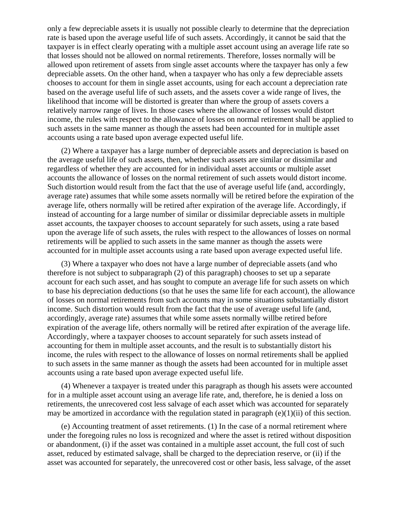only a few depreciable assets it is usually not possible clearly to determine that the depreciation rate is based upon the average useful life of such assets. Accordingly, it cannot be said that the taxpayer is in effect clearly operating with a multiple asset account using an average life rate so that losses should not be allowed on normal retirements. Therefore, losses normally will be allowed upon retirement of assets from single asset accounts where the taxpayer has only a few depreciable assets. On the other hand, when a taxpayer who has only a few depreciable assets chooses to account for them in single asset accounts, using for each account a depreciation rate based on the average useful life of such assets, and the assets cover a wide range of lives, the likelihood that income will be distorted is greater than where the group of assets covers a relatively narrow range of lives. In those cases where the allowance of losses would distort income, the rules with respect to the allowance of losses on normal retirement shall be applied to such assets in the same manner as though the assets had been accounted for in multiple asset accounts using a rate based upon average expected useful life.

 (2) Where a taxpayer has a large number of depreciable assets and depreciation is based on the average useful life of such assets, then, whether such assets are similar or dissimilar and regardless of whether they are accounted for in individual asset accounts or multiple asset accounts the allowance of losses on the normal retirement of such assets would distort income. Such distortion would result from the fact that the use of average useful life (and, accordingly, average rate) assumes that while some assets normally will be retired before the expiration of the average life, others normally will be retired after expiration of the average life. Accordingly, if instead of accounting for a large number of similar or dissimilar depreciable assets in multiple asset accounts, the taxpayer chooses to account separately for such assets, using a rate based upon the average life of such assets, the rules with respect to the allowances of losses on normal retirements will be applied to such assets in the same manner as though the assets were accounted for in multiple asset accounts using a rate based upon average expected useful life.

 (3) Where a taxpayer who does not have a large number of depreciable assets (and who therefore is not subject to subparagraph (2) of this paragraph) chooses to set up a separate account for each such asset, and has sought to compute an average life for such assets on which to base his depreciation deductions (so that he uses the same life for each account), the allowance of losses on normal retirements from such accounts may in some situations substantially distort income. Such distortion would result from the fact that the use of average useful life (and, accordingly, average rate) assumes that while some assets normally willbe retired before expiration of the average life, others normally will be retired after expiration of the average life. Accordingly, where a taxpayer chooses to account separately for such assets instead of accounting for them in multiple asset accounts, and the result is to substantially distort his income, the rules with respect to the allowance of losses on normal retirements shall be applied to such assets in the same manner as though the assets had been accounted for in multiple asset accounts using a rate based upon average expected useful life.

 (4) Whenever a taxpayer is treated under this paragraph as though his assets were accounted for in a multiple asset account using an average life rate, and, therefore, he is denied a loss on retirements, the unrecovered cost less salvage of each asset which was accounted for separately may be amortized in accordance with the regulation stated in paragraph  $(e)(1)(ii)$  of this section.

 (e) Accounting treatment of asset retirements. (1) In the case of a normal retirement where under the foregoing rules no loss is recognized and where the asset is retired without disposition or abandonment, (i) if the asset was contained in a multiple asset account, the full cost of such asset, reduced by estimated salvage, shall be charged to the depreciation reserve, or (ii) if the asset was accounted for separately, the unrecovered cost or other basis, less salvage, of the asset